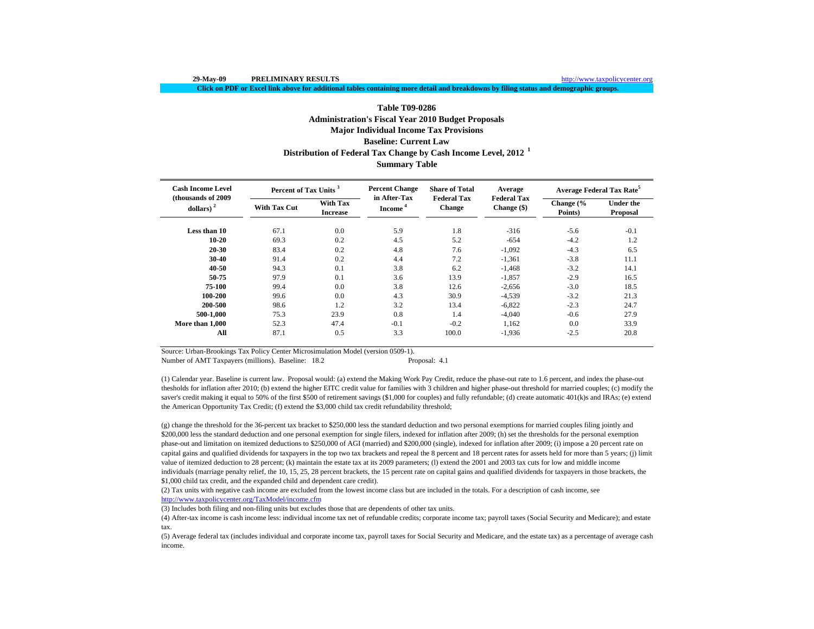**Click on PDF or Excel link above for additional tables containing more detail and breakdowns by filing status and demographic groups.**

# **Table T09-0286Administration's Fiscal Year 2010 Budget Proposals Major Individual Income Tax Provisions Baseline: Current LawDistribution of Federal Tax Change by Cash Income Level, 2012 <sup>1</sup>**

## **Summary Table**

| <b>Cash Income Level</b><br>(thousands of 2009) | Percent of Tax Units <sup>3</sup> |                                    | <b>Percent Change</b>               | <b>Share of Total</b>               | Average                           | Average Federal Tax Rate <sup>5</sup> |                              |  |
|-------------------------------------------------|-----------------------------------|------------------------------------|-------------------------------------|-------------------------------------|-----------------------------------|---------------------------------------|------------------------------|--|
| dollars) $2$                                    | <b>With Tax Cut</b>               | <b>With Tax</b><br><b>Increase</b> | in After-Tax<br>Income <sup>4</sup> | <b>Federal Tax</b><br><b>Change</b> | <b>Federal Tax</b><br>Change (\$) | Change $\frac{6}{6}$<br>Points)       | <b>Under the</b><br>Proposal |  |
| Less than 10                                    | 67.1                              | 0.0                                | 5.9                                 | 1.8                                 | $-316$                            | $-5.6$                                | $-0.1$                       |  |
| $10 - 20$                                       | 69.3                              | 0.2                                | 4.5                                 | 5.2                                 | $-654$                            | $-4.2$                                | 1.2                          |  |
| 20-30                                           | 83.4                              | 0.2                                | 4.8                                 | 7.6                                 | $-1,092$                          | $-4.3$                                | 6.5                          |  |
| 30-40                                           | 91.4                              | 0.2                                | 4.4                                 | 7.2                                 | $-1,361$                          | $-3.8$                                | 11.1                         |  |
| 40-50                                           | 94.3                              | 0.1                                | 3.8                                 | 6.2                                 | $-1,468$                          | $-3.2$                                | 14.1                         |  |
| 50-75                                           | 97.9                              | 0.1                                | 3.6                                 | 13.9                                | $-1,857$                          | $-2.9$                                | 16.5                         |  |
| 75-100                                          | 99.4                              | 0.0                                | 3.8                                 | 12.6                                | $-2,656$                          | $-3.0$                                | 18.5                         |  |
| 100-200                                         | 99.6                              | 0.0                                | 4.3                                 | 30.9                                | $-4,539$                          | $-3.2$                                | 21.3                         |  |
| 200-500                                         | 98.6                              | 1.2                                | 3.2                                 | 13.4                                | $-6,822$                          | $-2.3$                                | 24.7                         |  |
| 500-1.000                                       | 75.3                              | 23.9                               | 0.8                                 | 1.4                                 | $-4,040$                          | $-0.6$                                | 27.9                         |  |
| More than 1.000                                 | 52.3                              | 47.4                               | $-0.1$                              | $-0.2$                              | 1,162                             | 0.0                                   | 33.9                         |  |
| All                                             | 87.1                              | 0.5                                | 3.3                                 | 100.0                               | $-1,936$                          | $-2.5$                                | 20.8                         |  |

Source: Urban-Brookings Tax Policy Center Microsimulation Model (version 0509-1).

Number of AMT Taxpayers (millions). Baseline: 18.2 Proposal: 4.1

(1) Calendar year. Baseline is current law. Proposal would: (a) extend the Making Work Pay Credit, reduce the phase-out rate to 1.6 percent, and index the phase-out thesholds for inflation after 2010; (b) extend the higher EITC credit value for families with 3 children and higher phase-out threshold for married couples; (c) modify the saver's credit making it equal to 50% of the first \$500 of retirement savings (\$1,000 for couples) and fully refundable; (d) create automatic 401(k)s and IRAs; (e) extend the American Opportunity Tax Credit; (f) extend the \$3,000 child tax credit refundability threshold;

(g) change the threshold for the 36-percent tax bracket to \$250,000 less the standard deduction and two personal exemptions for married couples filing jointly and \$200,000 less the standard deduction and one personal exemption for single filers, indexed for inflation after 2009; (h) set the thresholds for the personal exemption phase-out and limitation on itemized deductions to \$250,000 of AGI (married) and \$200,000 (single), indexed for inflation after 2009; (i) impose a 20 percent rate on capital gains and qualified dividends for taxpayers in the top two tax brackets and repeal the 8 percent and 18 percent rates for assets held for more than 5 years; (j) limit value of itemized deduction to 28 percent; (k) maintain the estate tax at its 2009 parameters; (l) extend the 2001 and 2003 tax cuts for low and middle income individuals (marriage penalty relief, the 10, 15, 25, 28 percent brackets, the 15 percent rate on capital gains and qualified dividends for taxpayers in those brackets, the \$1,000 child tax credit, and the expanded child and dependent care credit).

(2) Tax units with negative cash income are excluded from the lowest income class but are included in the totals. For a description of cash income, see http://www.taxpolicycenter.org/TaxModel/income.cfm

(3) Includes both filing and non-filing units but excludes those that are dependents of other tax units.

(4) After-tax income is cash income less: individual income tax net of refundable credits; corporate income tax; payroll taxes (Social Security and Medicare); and estate tax.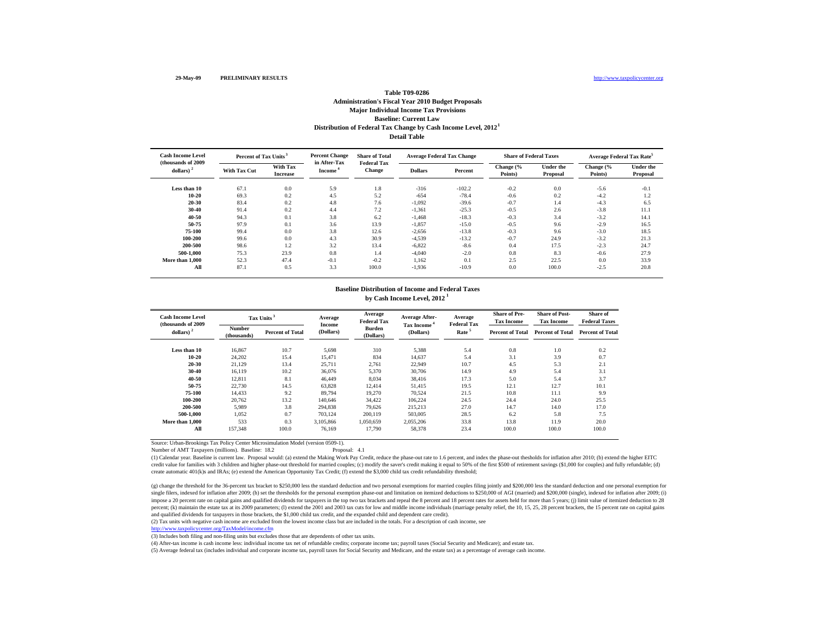### **Detail TableBaseline: Current Law Distribution of Federal Tax Change by Cash Income Level, 2012 1 Table T09-0286Administration's Fiscal Year 2010 Budget Proposals Major Individual Income Tax Provisions**

| <b>Cash Income Level</b><br>(thousands of 2009) | Percent of Tax Units <sup>3</sup> |                                    | <b>Percent Change</b><br>in After-Tax | <b>Share of Total</b><br><b>Federal Tax</b> | <b>Average Federal Tax Change</b> |          | <b>Share of Federal Taxes</b> |                              | <b>Average Federal Tax Rate<sup>5</sup></b> |                              |
|-------------------------------------------------|-----------------------------------|------------------------------------|---------------------------------------|---------------------------------------------|-----------------------------------|----------|-------------------------------|------------------------------|---------------------------------------------|------------------------------|
| dollars) $2$                                    | <b>With Tax Cut</b>               | <b>With Tax</b><br><b>Increase</b> | Income <sup>®</sup>                   | <b>Change</b>                               | <b>Dollars</b>                    | Percent  | Change (%<br>Points)          | <b>Under the</b><br>Proposal | Change (%<br>Points)                        | <b>Under the</b><br>Proposal |
| Less than 10                                    | 67.1                              | 0.0                                | 5.9                                   | 1.8                                         | $-316$                            | $-102.2$ | $-0.2$                        | 0.0                          | $-5.6$                                      | $-0.1$                       |
| $10 - 20$                                       | 69.3                              | 0.2                                | 4.5                                   | 5.2                                         | $-654$                            | $-78.4$  | $-0.6$                        | 0.2                          | $-4.2$                                      | 1.2                          |
| 20-30                                           | 83.4                              | 0.2                                | 4.8                                   | 7.6                                         | $-1,092$                          | $-39.6$  | $-0.7$                        | 1.4                          | $-4.3$                                      | 6.5                          |
| 30-40                                           | 91.4                              | 0.2                                | 4.4                                   | 7.2                                         | $-1.361$                          | $-25.3$  | $-0.5$                        | 2.6                          | $-3.8$                                      | 11.1                         |
| 40-50                                           | 94.3                              | 0.1                                | 3.8                                   | 6.2                                         | $-1,468$                          | $-18.3$  | $-0.3$                        | 3.4                          | $-3.2$                                      | 14.1                         |
| 50-75                                           | 97.9                              | 0.1                                | 3.6                                   | 13.9                                        | $-1,857$                          | $-15.0$  | $-0.5$                        | 9.6                          | $-2.9$                                      | 16.5                         |
| 75-100                                          | 99.4                              | 0.0                                | 3.8                                   | 12.6                                        | $-2,656$                          | $-13.8$  | $-0.3$                        | 9.6                          | $-3.0$                                      | 18.5                         |
| 100-200                                         | 99.6                              | 0.0                                | 4.3                                   | 30.9                                        | $-4,539$                          | $-13.2$  | $-0.7$                        | 24.9                         | $-3.2$                                      | 21.3                         |
| 200-500                                         | 98.6                              | 1.2                                | 3.2                                   | 13.4                                        | $-6.822$                          | $-8.6$   | 0.4                           | 17.5                         | $-2.3$                                      | 24.7                         |
| 500-1.000                                       | 75.3                              | 23.9                               | 0.8                                   | 1.4                                         | $-4.040$                          | $-2.0$   | 0.8                           | 8.3                          | $-0.6$                                      | 27.9                         |
| More than 1,000                                 | 52.3                              | 47.4                               | $-0.1$                                | $-0.2$                                      | 1.162                             | 0.1      | 2.5                           | 22.5                         | 0.0                                         | 33.9                         |
| All                                             | 87.1                              | 0.5                                | 3.3                                   | 100.0                                       | $-1,936$                          | $-10.9$  | 0.0                           | 100.0                        | $-2.5$                                      | 20.8                         |

#### **by Cash Income Level, 2012 1 Baseline Distribution of Income and Federal Taxes**

| <b>Cash Income Level</b><br>(thousands of 2009) |                              | Tax Units <sup>3</sup>  | Average<br>Income | Average<br><b>Federal Tax</b> | Average After-<br><b>Tax Income "</b> | Average<br><b>Federal Tax</b> | <b>Share of Pre-</b><br><b>Tax Income</b> | <b>Share of Post-</b><br><b>Tax Income</b> | Share of<br><b>Federal Taxes</b> |
|-------------------------------------------------|------------------------------|-------------------------|-------------------|-------------------------------|---------------------------------------|-------------------------------|-------------------------------------------|--------------------------------------------|----------------------------------|
| dollars) $2$                                    | <b>Number</b><br>(thousands) | <b>Percent of Total</b> | (Dollars)         | <b>Burden</b><br>(Dollars)    | (Dollars)                             | Rate <sup>5</sup>             | <b>Percent of Total</b>                   | <b>Percent of Total</b>                    | <b>Percent of Total</b>          |
| Less than 10                                    | 16,867                       | 10.7                    | 5,698             | 310                           | 5,388                                 | 5.4                           | 0.8                                       | 1.0                                        | 0.2                              |
| 10-20                                           | 24,202                       | 15.4                    | 15,471            | 834                           | 14,637                                | 5.4                           | 3.1                                       | 3.9                                        | 0.7                              |
| 20-30                                           | 21,129                       | 13.4                    | 25,711            | 2,761                         | 22,949                                | 10.7                          | 4.5                                       | 5.3                                        | 2.1                              |
| 30-40                                           | 16,119                       | 10.2                    | 36,076            | 5,370                         | 30,706                                | 14.9                          | 4.9                                       | 5.4                                        | 3.1                              |
| 40-50                                           | 12.811                       | 8.1                     | 46.449            | 8,034                         | 38.416                                | 17.3                          | 5.0                                       | 5.4                                        | 3.7                              |
| 50-75                                           | 22,730                       | 14.5                    | 63,828            | 12,414                        | 51.415                                | 19.5                          | 12.1                                      | 12.7                                       | 10.1                             |
| 75-100                                          | 14.433                       | 9.2                     | 89.794            | 19,270                        | 70.524                                | 21.5                          | 10.8                                      | 11.1                                       | 9.9                              |
| 100-200                                         | 20.762                       | 13.2                    | 140,646           | 34,422                        | 106.224                               | 24.5                          | 24.4                                      | 24.0                                       | 25.5                             |
| 200-500                                         | 5,989                        | 3.8                     | 294,838           | 79,626                        | 215,213                               | 27.0                          | 14.7                                      | 14.0                                       | 17.0                             |
| 500-1.000                                       | 1,052                        | 0.7                     | 703.124           | 200,119                       | 503,005                               | 28.5                          | 6.2                                       | 5.8                                        | 7.5                              |
| More than 1,000                                 | 533                          | 0.3                     | 3.105.866         | 1.050.659                     | 2,055,206                             | 33.8                          | 13.8                                      | 11.9                                       | 20.0                             |
| All                                             | 157,348                      | 100.0                   | 76.169            | 17,790                        | 58,378                                | 23.4                          | 100.0                                     | 100.0                                      | 100.0                            |

Source: Urban-Brookings Tax Policy Center Microsimulation Model (version 0509-1).

Number of AMT Taxpayers (millions). Baseline: 18.2

(1) Calendar year, Baseline is current law. Proposal would: (a) extend the Making Work Pay Credit, reduce the phase-out rate to 1.6 percent, and index the phase-out thesholds for inflation after 2010; (b) extend the higher credit value for families with 3 children and higher phase-out threshold for married couples; (c) modify the saver's credit making it equal to 50% of the first \$500 of retirement savings (\$1,000 for couples) and fully refu create automatic 401(k)s and IRAs; (e) extend the American Opportunity Tax Credit; (f) extend the \$3,000 child tax credit refundability threshold;

(g) change the threshold for the 36-percent tax bracket to \$250,000 less the standard deduction and two personal exemptions for married couples filing jointly and \$200,000 less the standard deduction and one personal exemp single filers, indexed for inflation after 2009; (h) set the thresholds for the personal exemption phase-out and limitation on itemized deductions to \$250,000 of AGI (married) and \$200,000 (single), indexed for inflation a impose a 20 percent rate on capital gains and qualified dividends for taxpayers in the top two tax brackets and repeal the 8 percent and 18 percent rates for assets held for more than 5 years; (j) limit value of itemized d percent; (k) maintain the estate tax at its 2009 parameters; (l) extend the 2001 and 2003 tax cuts for low and middle income individuals (marriage penalty relief, the 10, 15, 25, 28 percent brackets, the 15 percent rate on and qualified dividends for taxpayers in those brackets, the \$1,000 child tax credit, and the expanded child and dependent care credit).

(2) Tax units with negative cash income are excluded from the lowest income class but are included in the totals. For a description of cash income, see

http://www.taxpolicycenter.org/TaxModel/income.cfm

(3) Includes both filing and non-filing units but excludes those that are dependents of other tax units.

(4) After-tax income is cash income less: individual income tax net of refundable credits; corporate income tax; payroll taxes (Social Security and Medicare); and estate tax.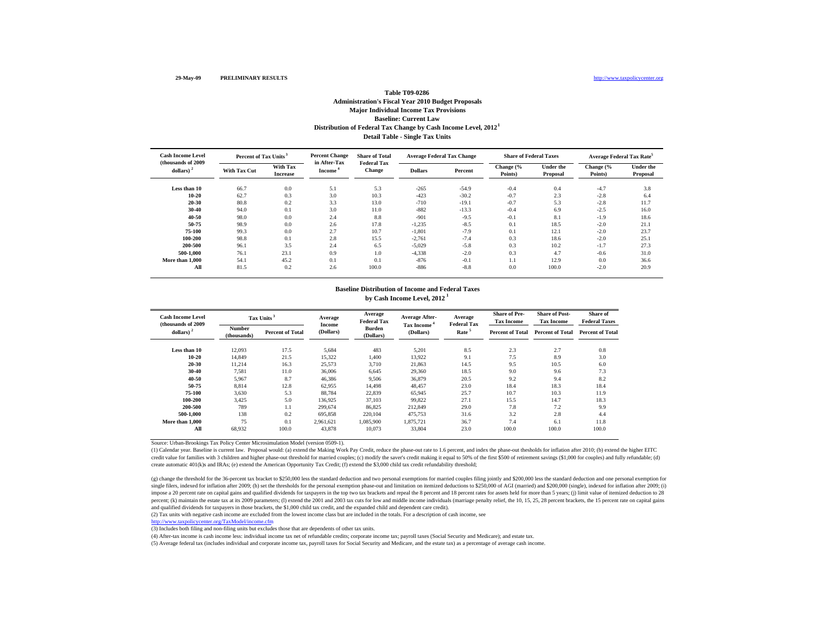## **Detail Table - Single Tax Units Baseline: Current Law Distribution of Federal Tax Change by Cash Income Level, 2012 1 Table T09-0286Administration's Fiscal Year 2010 Budget Proposals Major Individual Income Tax Provisions**

| <b>Cash Income Level</b><br>(thousands of 2009) | Percent of Tax Units <sup>3</sup> |                                    | <b>Percent Change</b><br>in After-Tax | <b>Share of Total</b><br><b>Federal Tax</b> | <b>Average Federal Tax Change</b> |         | <b>Share of Federal Taxes</b> |                              | <b>Average Federal Tax Rate<sup>5</sup></b> |                              |
|-------------------------------------------------|-----------------------------------|------------------------------------|---------------------------------------|---------------------------------------------|-----------------------------------|---------|-------------------------------|------------------------------|---------------------------------------------|------------------------------|
| dollars) $2$                                    | <b>With Tax Cut</b>               | <b>With Tax</b><br><b>Increase</b> | Income <sup>*</sup>                   | <b>Change</b>                               | <b>Dollars</b>                    | Percent | Change (%<br>Points)          | <b>Under the</b><br>Proposal | Change $\frac{6}{6}$<br>Points)             | <b>Under the</b><br>Proposal |
| Less than 10                                    | 66.7                              | 0.0                                | 5.1                                   | 5.3                                         | $-265$                            | $-54.9$ | $-0.4$                        | 0.4                          | $-4.7$                                      | 3.8                          |
| $10 - 20$                                       | 62.7                              | 0.3                                | 3.0                                   | 10.3                                        | $-423$                            | $-30.2$ | $-0.7$                        | 2.3                          | $-2.8$                                      | 6.4                          |
| 20-30                                           | 80.8                              | 0.2                                | 3.3                                   | 13.0                                        | $-710$                            | $-19.1$ | $-0.7$                        | 5.3                          | $-2.8$                                      | 11.7                         |
| 30-40                                           | 94.0                              | 0.1                                | 3.0                                   | 11.0                                        | $-882$                            | $-13.3$ | $-0.4$                        | 6.9                          | $-2.5$                                      | 16.0                         |
| 40-50                                           | 98.0                              | 0.0                                | 2.4                                   | 8.8                                         | $-901$                            | $-9.5$  | $-0.1$                        | 8.1                          | $-1.9$                                      | 18.6                         |
| 50-75                                           | 98.9                              | 0.0                                | 2.6                                   | 17.8                                        | $-1,235$                          | $-8.5$  | 0.1                           | 18.5                         | $-2.0$                                      | 21.1                         |
| 75-100                                          | 99.3                              | 0.0                                | 2.7                                   | 10.7                                        | $-1,801$                          | $-7.9$  | 0.1                           | 12.1                         | $-2.0$                                      | 23.7                         |
| 100-200                                         | 98.8                              | 0.1                                | 2.8                                   | 15.5                                        | $-2,761$                          | $-7.4$  | 0.3                           | 18.6                         | $-2.0$                                      | 25.1                         |
| 200-500                                         | 96.1                              | 3.5                                | 2.4                                   | 6.5                                         | $-5,029$                          | $-5.8$  | 0.3                           | 10.2                         | $-1.7$                                      | 27.3                         |
| 500-1.000                                       | 76.1                              | 23.1                               | 0.9                                   | 1.0                                         | $-4,338$                          | $-2.0$  | 0.3                           | 4.7                          | $-0.6$                                      | 31.0                         |
| More than 1,000                                 | 54.1                              | 45.2                               | 0.1                                   | 0.1                                         | $-876$                            | $-0.1$  | 1.1                           | 12.9                         | 0.0                                         | 36.6                         |
| All                                             | 81.5                              | 0.2                                | 2.6                                   | 100.0                                       | $-886$                            | $-8.8$  | 0.0                           | 100.0                        | $-2.0$                                      | 20.9                         |

#### **by Cash Income Level, 2012 1 Baseline Distribution of Income and Federal Taxes**

| <b>Cash Income Level</b><br>(thousands of 2009) |                              | Tax Units <sup>3</sup>  | Average<br>Income | Average<br><b>Federal Tax</b> | Average After-<br>Tax Income <sup>4</sup> | Average<br><b>Federal Tax</b> | <b>Share of Pre-</b><br><b>Tax Income</b> | <b>Share of Post-</b><br><b>Tax Income</b> | Share of<br><b>Federal Taxes</b> |
|-------------------------------------------------|------------------------------|-------------------------|-------------------|-------------------------------|-------------------------------------------|-------------------------------|-------------------------------------------|--------------------------------------------|----------------------------------|
| dollars) $2$                                    | <b>Number</b><br>(thousands) | <b>Percent of Total</b> | (Dollars)         | <b>Burden</b><br>(Dollars)    | (Dollars)                                 | Rate <sup>5</sup>             | <b>Percent of Total</b>                   | <b>Percent of Total</b>                    | <b>Percent of Total</b>          |
| Less than 10                                    | 12.093                       | 17.5                    | 5,684             | 483                           | 5,201                                     | 8.5                           | 2.3                                       | 2.7                                        | 0.8                              |
| 10-20                                           | 14.849                       | 21.5                    | 15,322            | 1.400                         | 13,922                                    | 9.1                           | 7.5                                       | 8.9                                        | 3.0                              |
| 20-30                                           | 11,214                       | 16.3                    | 25,573            | 3,710                         | 21,863                                    | 14.5                          | 9.5                                       | 10.5                                       | 6.0                              |
| 30-40                                           | 7,581                        | 11.0                    | 36,006            | 6,645                         | 29,360                                    | 18.5                          | 9.0                                       | 9.6                                        | 7.3                              |
| 40-50                                           | 5.967                        | 8.7                     | 46.386            | 9.506                         | 36,879                                    | 20.5                          | 9.2                                       | 9.4                                        | 8.2                              |
| 50-75                                           | 8.814                        | 12.8                    | 62.955            | 14.498                        | 48.457                                    | 23.0                          | 18.4                                      | 18.3                                       | 18.4                             |
| 75-100                                          | 3,630                        | 5.3                     | 88.784            | 22,839                        | 65,945                                    | 25.7                          | 10.7                                      | 10.3                                       | 11.9                             |
| 100-200                                         | 3,425                        | 5.0                     | 136,925           | 37,103                        | 99,822                                    | 27.1                          | 15.5                                      | 14.7                                       | 18.3                             |
| 200-500                                         | 789                          | 1.1                     | 299.674           | 86,825                        | 212,849                                   | 29.0                          | 7.8                                       | 7.2                                        | 9.9                              |
| 500-1.000                                       | 138                          | 0.2                     | 695,858           | 220,104                       | 475,753                                   | 31.6                          | 3.2                                       | 2.8                                        | 4.4                              |
| More than 1,000                                 | 75                           | 0.1                     | 2.961.621         | 1.085.900                     | 1,875,721                                 | 36.7                          | 7.4                                       | 6.1                                        | 11.8                             |
| All                                             | 68,932                       | 100.0                   | 43.878            | 10,073                        | 33.804                                    | 23.0                          | 100.0                                     | 100.0                                      | 100.0                            |

Source: Urban-Brookings Tax Policy Center Microsimulation Model (version 0509-1).

(1) Calendar year. Baseline is current law. Proposal would: (a) extend the Making Work Pay Credit, reduce the phase-out rate to 1.6 percent, and index the phase-out thesholds for inflation after 2010; (b) extend the higher credit value for families with 3 children and higher phase-out threshold for married couples; (c) modify the saver's credit making it equal to 50% of the first \$500 of retirement savings (\$1,000 for couples) and fully refu create automatic 401(k)s and IRAs; (e) extend the American Opportunity Tax Credit; (f) extend the \$3,000 child tax credit refundability threshold;

(g) change the threshold for the 36-percent tax bracket to \$250,000 less the standard deduction and two personal exemptions for married couples filing jointly and \$200,000 less the standard deduction and one personal exemp single filers, indexed for inflation after 2009; (h) set the thresholds for the personal exemption phase-out and limitation on itemized deductions to \$250,000 of AGI (married) and \$200,000 (single), indexed for inflation a impose a 20 percent rate on capital gains and qualified dividends for taxpayers in the top two tax brackets and repeal the 8 percent and 18 percent rates for assets held for more than 5 years; (j) limit value of itemized d percent; (k) maintain the estate tax at its 2009 parameters; (l) extend the 2001 and 2003 tax cuts for low and middle income individuals (marriage penalty relief, the 10, 15, 25, 28 percent brackets, the 15 percent rate on and qualified dividends for taxpayers in those brackets, the \$1,000 child tax credit, and the expanded child and dependent care credit).

(2) Tax units with negative cash income are excluded from the lowest income class but are included in the totals. For a description of cash income, see

http://www.taxpolicycenter.org/TaxModel/income.cfm

(3) Includes both filing and non-filing units but excludes those that are dependents of other tax units.

(4) After-tax income is cash income less: individual income tax net of refundable credits; corporate income tax; payroll taxes (Social Security and Medicare); and estate tax.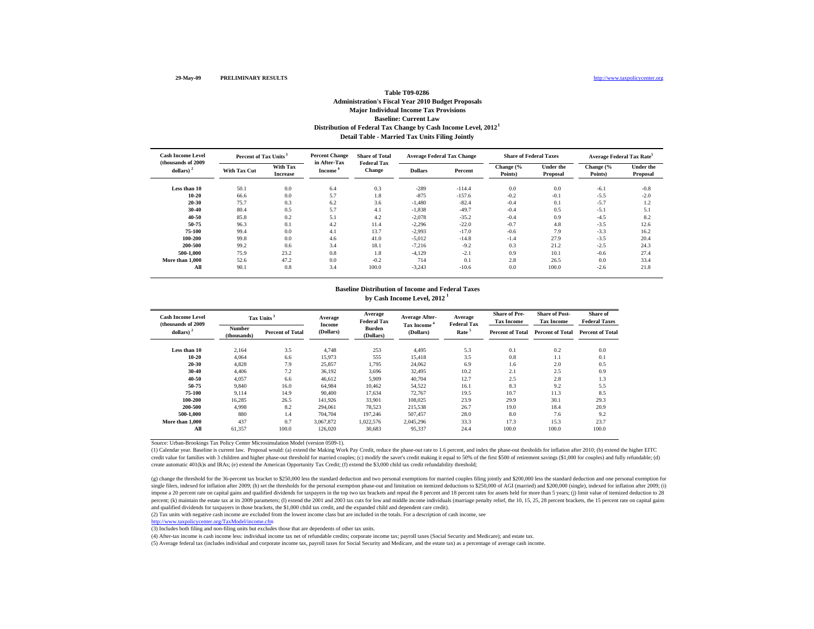## **Detail Table - Married Tax Units Filing Jointly Baseline: Current Law Distribution of Federal Tax Change by Cash Income Level, 2012 1 Table T09-0286Administration's Fiscal Year 2010 Budget Proposals Major Individual Income Tax Provisions**

| <b>Cash Income Level</b><br>(thousands of 2009) | Percent of Tax Units <sup>3</sup> |                                    | <b>Percent Change</b><br>in After-Tax | <b>Share of Total</b><br><b>Federal Tax</b> | <b>Average Federal Tax Change</b> |          | <b>Share of Federal Taxes</b> |                              | Average Federal Tax Rate <sup>5</sup> |                              |
|-------------------------------------------------|-----------------------------------|------------------------------------|---------------------------------------|---------------------------------------------|-----------------------------------|----------|-------------------------------|------------------------------|---------------------------------------|------------------------------|
| dollars) $2$                                    | <b>With Tax Cut</b>               | <b>With Tax</b><br><b>Increase</b> | Income <sup>*</sup>                   | <b>Change</b>                               | <b>Dollars</b>                    | Percent  | Change (%<br>Points)          | <b>Under the</b><br>Proposal | Change (%<br>Points)                  | <b>Under the</b><br>Proposal |
| Less than 10                                    | 50.1                              | 0.0                                | 6.4                                   | 0.3                                         | $-289$                            | $-114.4$ | 0.0                           | 0.0                          | $-6.1$                                | $-0.8$                       |
| $10 - 20$                                       | 66.6                              | 0.0                                | 5.7                                   | 1.8                                         | $-875$                            | $-157.6$ | $-0.2$                        | $-0.1$                       | $-5.5$                                | $-2.0$                       |
| 20-30                                           | 75.7                              | 0.3                                | 6.2                                   | 3.6                                         | $-1,480$                          | $-82.4$  | $-0.4$                        | 0.1                          | $-5.7$                                | 1.2                          |
| 30-40                                           | 80.4                              | 0.5                                | 5.7                                   | 4.1                                         | $-1,838$                          | $-49.7$  | $-0.4$                        | 0.5                          | $-5.1$                                | 5.1                          |
| 40-50                                           | 85.8                              | 0.2                                | 5.1                                   | 4.2                                         | $-2,078$                          | $-35.2$  | $-0.4$                        | 0.9                          | $-4.5$                                | 8.2                          |
| 50-75                                           | 96.3                              | 0.1                                | 4.2                                   | 11.4                                        | $-2,296$                          | $-22.0$  | $-0.7$                        | 4.8                          | $-3.5$                                | 12.6                         |
| 75-100                                          | 99.4                              | 0.0                                | 4.1                                   | 13.7                                        | $-2,993$                          | $-17.0$  | $-0.6$                        | 7.9                          | $-3.3$                                | 16.2                         |
| 100-200                                         | 99.8                              | 0.0                                | 4.6                                   | 41.0                                        | $-5,012$                          | $-14.8$  | $-1.4$                        | 27.9                         | $-3.5$                                | 20.4                         |
| 200-500                                         | 99.2                              | 0.6                                | 3.4                                   | 18.1                                        | $-7.216$                          | $-9.2$   | 0.3                           | 21.2                         | $-2.5$                                | 24.3                         |
| 500-1.000                                       | 75.9                              | 23.2                               | 0.8                                   | 1.8                                         | $-4.129$                          | $-2.1$   | 0.9                           | 10.1                         | $-0.6$                                | 27.4                         |
| More than 1,000                                 | 52.6                              | 47.2                               | 0.0                                   | $-0.2$                                      | 714                               | 0.1      | 2.8                           | 26.5                         | 0.0                                   | 33.4                         |
| All                                             | 90.1                              | 0.8                                | 3.4                                   | 100.0                                       | $-3,243$                          | $-10.6$  | 0.0                           | 100.0                        | $-2.6$                                | 21.8                         |

#### **by Cash Income Level, 2012 1 Baseline Distribution of Income and Federal Taxes**

| <b>Cash Income Level</b><br>(thousands of 2009 |                              | Tax Units <sup>3</sup>  | Average<br><b>Income</b> | Average<br><b>Federal Tax</b> | Average After-<br>Tax Income <sup>4</sup> | Average<br><b>Federal Tax</b> | <b>Share of Pre-</b><br><b>Tax Income</b> | <b>Share of Post-</b><br><b>Tax Income</b> | Share of<br><b>Federal Taxes</b> |
|------------------------------------------------|------------------------------|-------------------------|--------------------------|-------------------------------|-------------------------------------------|-------------------------------|-------------------------------------------|--------------------------------------------|----------------------------------|
| dollars) $2$                                   | <b>Number</b><br>(thousands) | <b>Percent of Total</b> | (Dollars)                | <b>Burden</b><br>(Dollars)    | (Dollars)                                 | Rate <sup>5</sup>             | <b>Percent of Total</b>                   | <b>Percent of Total</b>                    | <b>Percent of Total</b>          |
| Less than 10                                   | 2,164                        | 3.5                     | 4.748                    | 253                           | 4,495                                     | 5.3                           | 0.1                                       | 0.2                                        | 0.0                              |
| $10 - 20$                                      | 4.064                        | 6.6                     | 15.973                   | 555                           | 15,418                                    | 3.5                           | 0.8                                       | 1.1                                        | 0.1                              |
| 20-30                                          | 4,828                        | 7.9                     | 25,857                   | 1,795                         | 24,062                                    | 6.9                           | 1.6                                       | 2.0                                        | 0.5                              |
| 30-40                                          | 4.406                        | 7.2                     | 36,192                   | 3,696                         | 32,495                                    | 10.2                          | 2.1                                       | 2.5                                        | 0.9                              |
| 40-50                                          | 4.057                        | 6.6                     | 46.612                   | 5,909                         | 40,704                                    | 12.7                          | 2.5                                       | 2.8                                        | 1.3                              |
| 50-75                                          | 9.840                        | 16.0                    | 64.984                   | 10.462                        | 54,522                                    | 16.1                          | 8.3                                       | 9.2                                        | 5.5                              |
| 75-100                                         | 9.114                        | 14.9                    | 90.400                   | 17.634                        | 72,767                                    | 19.5                          | 10.7                                      | 11.3                                       | 8.5                              |
| 100-200                                        | 16,285                       | 26.5                    | 141,926                  | 33,901                        | 108,025                                   | 23.9                          | 29.9                                      | 30.1                                       | 29.3                             |
| 200-500                                        | 4,998                        | 8.2                     | 294.061                  | 78,523                        | 215,538                                   | 26.7                          | 19.0                                      | 18.4                                       | 20.9                             |
| 500-1.000                                      | 880                          | 1.4                     | 704.704                  | 197.246                       | 507.457                                   | 28.0                          | 8.0                                       | 7.6                                        | 9.2                              |
| More than 1,000                                | 437                          | 0.7                     | 3.067.872                | 1,022,576                     | 2,045,296                                 | 33.3                          | 17.3                                      | 15.3                                       | 23.7                             |
| All                                            | 61,357                       | 100.0                   | 126,020                  | 30,683                        | 95,337                                    | 24.4                          | 100.0                                     | 100.0                                      | 100.0                            |

Source: Urban-Brookings Tax Policy Center Microsimulation Model (version 0509-1).

(1) Calendar year. Baseline is current law. Proposal would: (a) extend the Making Work Pay Credit, reduce the phase-out rate to 1.6 percent, and index the phase-out thesholds for inflation after 2010; (b) extend the higher credit value for families with 3 children and higher phase-out threshold for married couples; (c) modify the saver's credit making it equal to 50% of the first \$500 of retirement savings (\$1,000 for couples) and fully refu create automatic 401(k)s and IRAs; (e) extend the American Opportunity Tax Credit; (f) extend the \$3,000 child tax credit refundability threshold;

(g) change the threshold for the 36-percent tax bracket to \$250,000 less the standard deduction and two personal exemptions for married couples filing jointly and \$200,000 less the standard deduction and one personal exemp single filers, indexed for inflation after 2009; (h) set the thresholds for the personal exemption phase-out and limitation on itemized deductions to \$250,000 of AGI (married) and \$200,000 (single), indexed for inflation a impose a 20 percent rate on capital gains and qualified dividends for taxpayers in the top two tax brackets and repeal the 8 percent and 18 percent rates for assets held for more than 5 years; (j) limit value of itemized d percent; (k) maintain the estate tax at its 2009 parameters; (l) extend the 2001 and 2003 tax cuts for low and middle income individuals (marriage penalty relief, the 10, 15, 25, 28 percent brackets, the 15 percent rate on and qualified dividends for taxpayers in those brackets, the \$1,000 child tax credit, and the expanded child and dependent care credit).

(2) Tax units with negative cash income are excluded from the lowest income class but are included in the totals. For a description of cash income, see

http://www.taxpolicycenter.org/TaxModel/income.cfm

(3) Includes both filing and non-filing units but excludes those that are dependents of other tax units.

(4) After-tax income is cash income less: individual income tax net of refundable credits; corporate income tax; payroll taxes (Social Security and Medicare); and estate tax.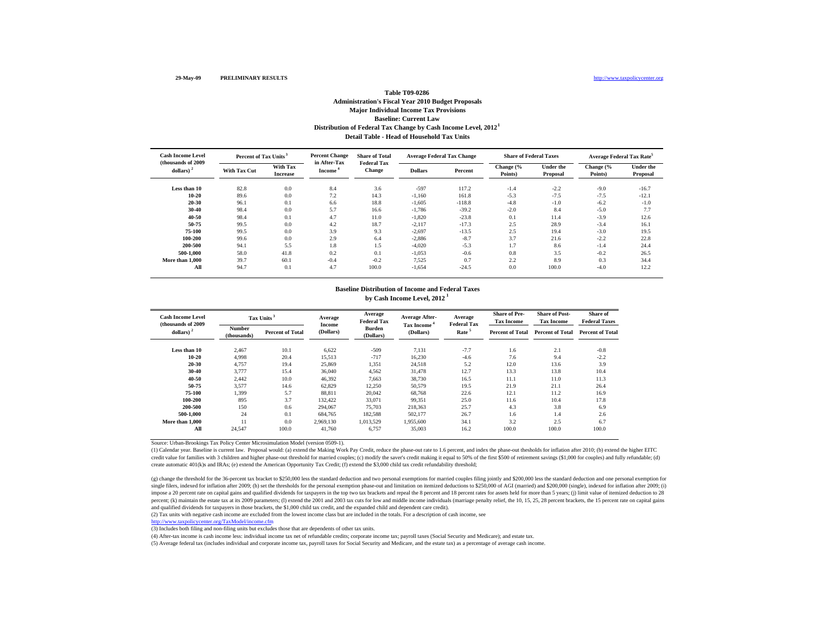## **Detail Table - Head of Household Tax UnitsBaseline: Current Law Distribution of Federal Tax Change by Cash Income Level, 2012 1 Table T09-0286Administration's Fiscal Year 2010 Budget Proposals Major Individual Income Tax Provisions**

| <b>Cash Income Level</b>            | Percent of Tax Units <sup>3</sup> |                             | <b>Percent Change</b>               | <b>Share of Total</b>               | <b>Average Federal Tax Change</b> |          | <b>Share of Federal Taxes</b> |                              | <b>Average Federal Tax Rate<sup>5</sup></b> |                              |
|-------------------------------------|-----------------------------------|-----------------------------|-------------------------------------|-------------------------------------|-----------------------------------|----------|-------------------------------|------------------------------|---------------------------------------------|------------------------------|
| (thousands of 2009)<br>dollars) $2$ | With Tax Cut                      | With Tax<br><b>Increase</b> | in After-Tax<br>Income <sup>*</sup> | <b>Federal Tax</b><br><b>Change</b> | <b>Dollars</b>                    | Percent  | Change (%<br>Points)          | <b>Under the</b><br>Proposal | Change $\frac{6}{6}$<br>Points)             | <b>Under the</b><br>Proposal |
| Less than 10                        | 82.8                              | 0.0                         | 8.4                                 | 3.6                                 | $-597$                            | 117.2    | $-1.4$                        | $-2.2$                       | $-9.0$                                      | $-16.7$                      |
| $10 - 20$                           | 89.6                              | 0.0                         | 7.2                                 | 14.3                                | $-1,160$                          | 161.8    | $-5.3$                        | $-7.5$                       | $-7.5$                                      | $-12.1$                      |
| 20-30                               | 96.1                              | 0.1                         | 6.6                                 | 18.8                                | $-1,605$                          | $-118.8$ | $-4.8$                        | $-1.0$                       | $-6.2$                                      | $-1.0$                       |
| 30-40                               | 98.4                              | 0.0                         | 5.7                                 | 16.6                                | $-1,786$                          | $-39.2$  | $-2.0$                        | 8.4                          | $-5.0$                                      | 7.7                          |
| 40-50                               | 98.4                              | 0.1                         | 4.7                                 | 11.0                                | $-1,820$                          | $-23.8$  | 0.1                           | 11.4                         | $-3.9$                                      | 12.6                         |
| 50-75                               | 99.5                              | 0.0                         | 4.2                                 | 18.7                                | $-2,117$                          | $-17.3$  | 2.5                           | 28.9                         | $-3.4$                                      | 16.1                         |
| 75-100                              | 99.5                              | 0.0                         | 3.9                                 | 9.3                                 | $-2,697$                          | $-13.5$  | 2.5                           | 19.4                         | $-3.0$                                      | 19.5                         |
| 100-200                             | 99.6                              | 0.0                         | 2.9                                 | 6.4                                 | $-2,886$                          | $-8.7$   | 3.7                           | 21.6                         | $-2.2$                                      | 22.8                         |
| 200-500                             | 94.1                              | 5.5                         | 1.8                                 | 1.5                                 | $-4.020$                          | $-5.3$   | 1.7                           | 8.6                          | $-1.4$                                      | 24.4                         |
| 500-1.000                           | 58.0                              | 41.8                        | 0.2                                 | 0.1                                 | $-1,053$                          | $-0.6$   | 0.8                           | 3.5                          | $-0.2$                                      | 26.5                         |
| More than 1,000                     | 39.7                              | 60.1                        | $-0.4$                              | $-0.2$                              | 7,525                             | 0.7      | 2.2                           | 8.9                          | 0.3                                         | 34.4                         |
| All                                 | 94.7                              | 0.1                         | 4.7                                 | 100.0                               | $-1.654$                          | $-24.5$  | 0.0                           | 100.0                        | $-4.0$                                      | 12.2                         |

#### **by Cash Income Level, 2012 1 Baseline Distribution of Income and Federal Taxes**

| <b>Cash Income Level</b><br>(thousands of 2009) |                              | Tax Units <sup>3</sup>  | Average<br><b>Income</b> | Average<br><b>Federal Tax</b> | Average After-<br>Tax Income <sup>4</sup> | Average<br><b>Federal Tax</b> | <b>Share of Pre-</b><br><b>Tax Income</b> | <b>Share of Post-</b><br><b>Tax Income</b> | Share of<br><b>Federal Taxes</b> |
|-------------------------------------------------|------------------------------|-------------------------|--------------------------|-------------------------------|-------------------------------------------|-------------------------------|-------------------------------------------|--------------------------------------------|----------------------------------|
| dollars) $2$                                    | <b>Number</b><br>(thousands) | <b>Percent of Total</b> | (Dollars)                | <b>Burden</b><br>(Dollars)    | (Dollars)                                 | Rate <sup>5</sup>             | <b>Percent of Total</b>                   | <b>Percent of Total</b>                    | <b>Percent of Total</b>          |
| Less than 10                                    | 2,467                        | 10.1                    | 6,622                    | $-509$                        | 7,131                                     | $-7.7$                        | 1.6                                       | 2.1                                        | $-0.8$                           |
| $10 - 20$                                       | 4.998                        | 20.4                    | 15,513                   | $-717$                        | 16,230                                    | $-4.6$                        | 7.6                                       | 9.4                                        | $-2.2$                           |
| 20-30                                           | 4,757                        | 19.4                    | 25,869                   | 1,351                         | 24,518                                    | 5.2                           | 12.0                                      | 13.6                                       | 3.9                              |
| 30-40                                           | 3.777                        | 15.4                    | 36,040                   | 4,562                         | 31.478                                    | 12.7                          | 13.3                                      | 13.8                                       | 10.4                             |
| 40-50                                           | 2,442                        | 10.0                    | 46,392                   | 7,663                         | 38,730                                    | 16.5                          | 11.1                                      | 11.0                                       | 11.3                             |
| 50-75                                           | 3.577                        | 14.6                    | 62,829                   | 12,250                        | 50,579                                    | 19.5                          | 21.9                                      | 21.1                                       | 26.4                             |
| 75-100                                          | 1.399                        | 5.7                     | 88.811                   | 20,042                        | 68,768                                    | 22.6                          | 12.1                                      | 11.2                                       | 16.9                             |
| 100-200                                         | 895                          | 3.7                     | 132.422                  | 33,071                        | 99,351                                    | 25.0                          | 11.6                                      | 10.4                                       | 17.8                             |
| 200-500                                         | 150                          | 0.6                     | 294,067                  | 75,703                        | 218,363                                   | 25.7                          | 4.3                                       | 3.8                                        | 6.9                              |
| 500-1.000                                       | 24                           | 0.1                     | 684,765                  | 182,588                       | 502,177                                   | 26.7                          | 1.6                                       | 1.4                                        | 2.6                              |
| More than 1,000                                 | 11                           | 0.0                     | 2.969.130                | 1,013,529                     | 1,955,600                                 | 34.1                          | 3.2                                       | 2.5                                        | 6.7                              |
| All                                             | 24.547                       | 100.0                   | 41.760                   | 6.757                         | 35,003                                    | 16.2                          | 100.0                                     | 100.0                                      | 100.0                            |

Source: Urban-Brookings Tax Policy Center Microsimulation Model (version 0509-1).

(1) Calendar year. Baseline is current law. Proposal would: (a) extend the Making Work Pay Credit, reduce the phase-out rate to 1.6 percent, and index the phase-out thesholds for inflation after 2010; (b) extend the higher credit value for families with 3 children and higher phase-out threshold for married couples; (c) modify the saver's credit making it equal to 50% of the first \$500 of retirement savings (\$1,000 for couples) and fully refu create automatic 401(k)s and IRAs; (e) extend the American Opportunity Tax Credit; (f) extend the \$3,000 child tax credit refundability threshold;

(g) change the threshold for the 36-percent tax bracket to \$250,000 less the standard deduction and two personal exemptions for married couples filing jointly and \$200,000 less the standard deduction and one personal exemp single filers, indexed for inflation after 2009; (h) set the thresholds for the personal exemption phase-out and limitation on itemized deductions to \$250,000 of AGI (married) and \$200,000 (single), indexed for inflation a impose a 20 percent rate on capital gains and qualified dividends for taxpayers in the top two tax brackets and repeal the 8 percent and 18 percent rates for assets held for more than 5 years; (j) limit value of itemized d percent; (k) maintain the estate tax at its 2009 parameters; (l) extend the 2001 and 2003 tax cuts for low and middle income individuals (marriage penalty relief, the 10, 15, 25, 28 percent brackets, the 15 percent rate on and qualified dividends for taxpayers in those brackets, the \$1,000 child tax credit, and the expanded child and dependent care credit).

(2) Tax units with negative cash income are excluded from the lowest income class but are included in the totals. For a description of cash income, see

http://www.taxpolicycenter.org/TaxModel/income.cfm

(3) Includes both filing and non-filing units but excludes those that are dependents of other tax units.

(4) After-tax income is cash income less: individual income tax net of refundable credits; corporate income tax; payroll taxes (Social Security and Medicare); and estate tax.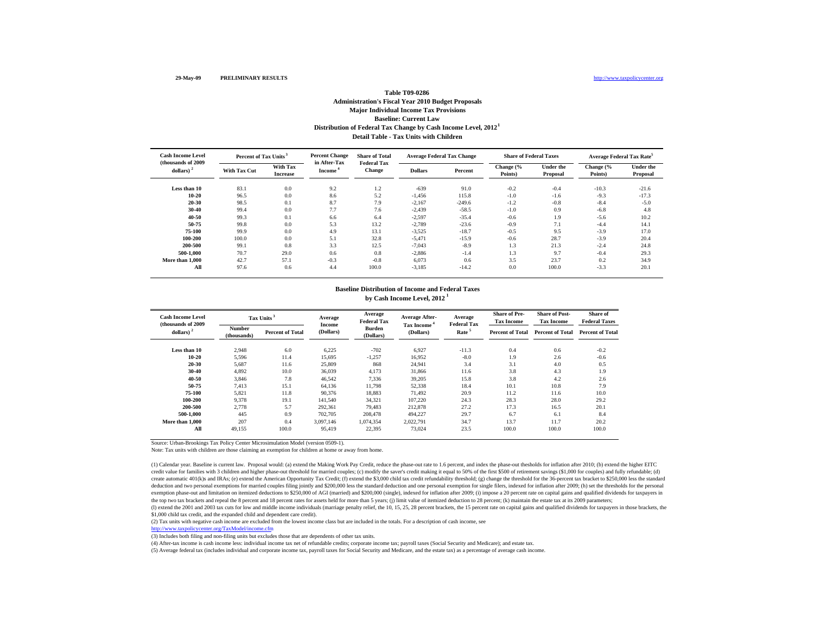## **Baseline: Current Law Distribution of Federal Tax Change by Cash Income Level, 2012 1 Table T09-0286Administration's Fiscal Year 2010 Budget Proposals Major Individual Income Tax Provisions Detail Table - Tax Units with Children**

| <b>Cash Income Level</b><br>(thousands of 2009) | Percent of Tax Units <sup>3</sup> |                                    | <b>Percent Change</b><br>in After-Tax | <b>Share of Total</b><br><b>Federal Tax</b> | <b>Average Federal Tax Change</b> |          | <b>Share of Federal Taxes</b> |                              | Average Federal Tax Rate <sup>5</sup> |                              |
|-------------------------------------------------|-----------------------------------|------------------------------------|---------------------------------------|---------------------------------------------|-----------------------------------|----------|-------------------------------|------------------------------|---------------------------------------|------------------------------|
| dollars) $2$                                    | <b>With Tax Cut</b>               | <b>With Tax</b><br><b>Increase</b> | Income <sup>*</sup>                   | <b>Change</b>                               | <b>Dollars</b>                    | Percent  | Change (%<br>Points)          | <b>Under the</b><br>Proposal | Change $\frac{6}{6}$<br>Points)       | <b>Under the</b><br>Proposal |
| Less than 10                                    | 83.1                              | 0.0                                | 9.2                                   | 1.2                                         | $-639$                            | 91.0     | $-0.2$                        | $-0.4$                       | $-10.3$                               | $-21.6$                      |
| $10 - 20$                                       | 96.5                              | 0.0                                | 8.6                                   | 5.2                                         | $-1,456$                          | 115.8    | $-1.0$                        | $-1.6$                       | $-9.3$                                | $-17.3$                      |
| 20-30                                           | 98.5                              | 0.1                                | 8.7                                   | 7.9                                         | $-2,167$                          | $-249.6$ | $-1.2$                        | $-0.8$                       | $-8.4$                                | $-5.0$                       |
| 30-40                                           | 99.4                              | 0.0                                | 7.7                                   | 7.6                                         | $-2,439$                          | $-58.5$  | $-1.0$                        | 0.9                          | $-6.8$                                | 4.8                          |
| 40-50                                           | 99.3                              | 0.1                                | 6.6                                   | 6.4                                         | $-2,597$                          | $-35.4$  | $-0.6$                        | 1.9                          | $-5.6$                                | 10.2                         |
| 50-75                                           | 99.8                              | 0.0                                | 5.3                                   | 13.2                                        | $-2,789$                          | $-23.6$  | $-0.9$                        | 7.1                          | $-4.4$                                | 14.1                         |
| 75-100                                          | 99.9                              | 0.0                                | 4.9                                   | 13.1                                        | $-3,525$                          | $-18.7$  | $-0.5$                        | 9.5                          | $-3.9$                                | 17.0                         |
| 100-200                                         | 100.0                             | 0.0                                | 5.1                                   | 32.8                                        | $-5,471$                          | $-15.9$  | $-0.6$                        | 28.7                         | $-3.9$                                | 20.4                         |
| 200-500                                         | 99.1                              | 0.8                                | 3.3                                   | 12.5                                        | $-7.043$                          | $-8.9$   | 1.3                           | 21.3                         | $-2.4$                                | 24.8                         |
| 500-1.000                                       | 70.7                              | 29.0                               | 0.6                                   | 0.8                                         | $-2,886$                          | $-1.4$   | 1.3                           | 9.7                          | $-0.4$                                | 29.3                         |
| More than 1,000                                 | 42.7                              | 57.1                               | $-0.3$                                | $-0.8$                                      | 6,073                             | 0.6      | 3.5                           | 23.7                         | 0.2                                   | 34.9                         |
| All                                             | 97.6                              | 0.6                                | 4.4                                   | 100.0                                       | $-3,185$                          | $-14.2$  | 0.0                           | 100.0                        | $-3.3$                                | 20.1                         |

#### **by Cash Income Level, 2012 1 Baseline Distribution of Income and Federal Taxes**

| <b>Cash Income Level</b><br>(thousands of 2009) |                              | Tax Units <sup>3</sup>  | Average<br>Income | Average<br><b>Federal Tax</b> | <b>Average After-</b><br>Tax Income | Average<br><b>Federal Tax</b> | <b>Share of Pre-</b><br><b>Tax Income</b> | <b>Share of Post-</b><br><b>Tax Income</b> | Share of<br><b>Federal Taxes</b> |
|-------------------------------------------------|------------------------------|-------------------------|-------------------|-------------------------------|-------------------------------------|-------------------------------|-------------------------------------------|--------------------------------------------|----------------------------------|
| dollars) $2$                                    | <b>Number</b><br>(thousands) | <b>Percent of Total</b> | (Dollars)         | <b>Burden</b><br>(Dollars)    | (Dollars)                           | Rate <sup>5</sup>             | <b>Percent of Total</b>                   | <b>Percent of Total</b>                    | <b>Percent of Total</b>          |
| Less than 10                                    | 2,948                        | 6.0                     | 6,225             | $-702$                        | 6,927                               | $-11.3$                       | 0.4                                       | 0.6                                        | $-0.2$                           |
| $10 - 20$                                       | 5,596                        | 11.4                    | 15,695            | $-1,257$                      | 16.952                              | $-8.0$                        | 1.9                                       | 2.6                                        | $-0.6$                           |
| 20-30                                           | 5,687                        | 11.6                    | 25,809            | 868                           | 24,941                              | 3.4                           | 3.1                                       | 4.0                                        | 0.5                              |
| 30-40                                           | 4,892                        | 10.0                    | 36,039            | 4,173                         | 31.866                              | 11.6                          | 3.8                                       | 4.3                                        | 1.9                              |
| 40-50                                           | 3.846                        | 7.8                     | 46.542            | 7.336                         | 39.205                              | 15.8                          | 3.8                                       | 4.2                                        | 2.6                              |
| 50-75                                           | 7.413                        | 15.1                    | 64,136            | 11,798                        | 52,338                              | 18.4                          | 10.1                                      | 10.8                                       | 7.9                              |
| 75-100                                          | 5,821                        | 11.8                    | 90,376            | 18,883                        | 71,492                              | 20.9                          | 11.2                                      | 11.6                                       | 10.0                             |
| 100-200                                         | 9,378                        | 19.1                    | 141,540           | 34,321                        | 107,220                             | 24.3                          | 28.3                                      | 28.0                                       | 29.2                             |
| 200-500                                         | 2,778                        | 5.7                     | 292,361           | 79.483                        | 212,878                             | 27.2                          | 17.3                                      | 16.5                                       | 20.1                             |
| 500-1.000                                       | 445                          | 0.9                     | 702,705           | 208,478                       | 494.227                             | 29.7                          | 6.7                                       | 6.1                                        | 8.4                              |
| More than 1.000                                 | 207                          | 0.4                     | 3.097.146         | 1,074,354                     | 2.022.791                           | 34.7                          | 13.7                                      | 11.7                                       | 20.2                             |
| All                                             | 49.155                       | 100.0                   | 95.419            | 22,395                        | 73.024                              | 23.5                          | 100.0                                     | 100.0                                      | 100.0                            |

Source: Urban-Brookings Tax Policy Center Microsimulation Model (version 0509-1).

Note: Tax units with children are those claiming an exemption for children at home or away from home.

(1) Calendar year. Baseline is current law. Proposal would: (a) extend the Making Work Pay Credit, reduce the phase-out rate to 1.6 percent, and index the phase-out thesholds for inflation after 2010; (b) extend the higher credit value for families with 3 children and higher phase-out threshold for married couples; (c) modify the saver's credit making it equal to 50% of the first \$500 of retirement savings (\$1,000 for couples) and fully refu create automatic 401(k)s and IRAs; (e) extend the American Opportunity Tax Credit; (f) extend the \$3,000 child tax credit refundability threshold; (g) change the threshold for the 36-percent tax bracket to \$250,000 less th deduction and two personal exemptions for married couples filing jointly and \$200,000 less the standard deduction and one personal exemption for single filers, indexed for inflation after 2009; (h) set the thresholds for t exemption phase-out and limitation on itemized deductions to \$250,000 of AGI (married) and \$200,000 (single), indexed for inflation after 2009; (i) impose a 20 percent rate on capital gains and qualified dividends for taxp the top two tax brackets and repeal the 8 percent and 18 percent rates for assets held for more than 5 years; (j) limit value of itemized deduction to 28 percent; (k) maintain the estate tax at its 2009 parameters;

(1) extend the 2001 and 2003 tax cuts for low and middle income individuals (marriage penalty relief, the 10, 15, 25, 28 percent brackets, the 15 percent rate on capital gains and qualified dividends for taxpayers in those \$1,000 child tax credit, and the expanded child and dependent care credit).

(2) Tax units with negative cash income are excluded from the lowest income class but are included in the totals. For a description of cash income, see

http://www.taxpolicycenter.org/TaxModel/income.cfm

(3) Includes both filing and non-filing units but excludes those that are dependents of other tax units.

(4) After-tax income is cash income less: individual income tax net of refundable credits; corporate income tax; payroll taxes (Social Security and Medicare); and estate tax.